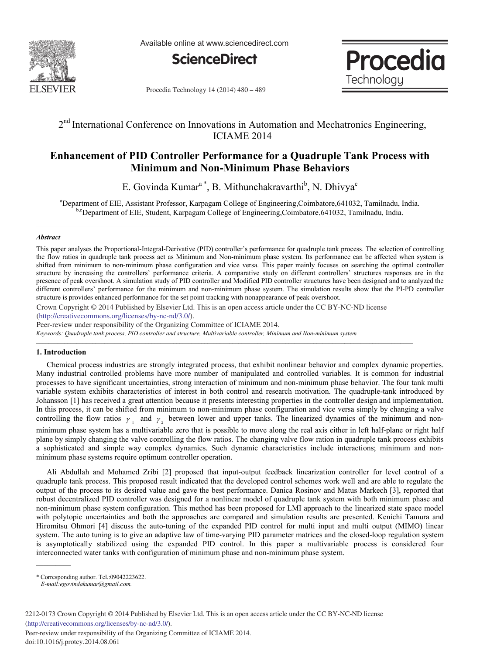

Available online at www.sciencedirect.com



Procedia Technology

Procedia Technology 14 (2014) 480 - 489

# 2<sup>nd</sup> International Conference on Innovations in Automation and Mechatronics Engineering, ICIAME 2014

# **Enhancement of PID Controller Performance for a Quadruple Tank Process with Minimum and Non-Minimum Phase Behaviors**

E. Govinda Kumar<sup>a\*</sup>, B. Mithunchakravarthi<sup>b</sup>, N. Dhivya<sup>c</sup>

a Department of EIE, Assistant Professor, Karpagam College of Engineering,Coimbatore,641032, Tamilnadu, India. b,cDepartment of EIE, Student, Karpagam College of Engineering, Coimbatore, 641032, Tamilnadu, India.

## *Abstract*

This paper analyses the Proportional-Integral-Derivative (PID) controller's performance for quadruple tank process. The selection of controlling the flow ratios in quadruple tank process act as Minimum and Non-minimum phase system. Its performance can be affected when system is shifted from minimum to non-minimum phase configuration and vice versa. This paper mainly focuses on searching the optimal controller structure by increasing the controllers' performance criteria. A comparative study on different controllers' structures responses are in the presence of peak overshoot. A simulation study of PID controller and Modified PID controller structures have been designed and to analyzed the different controllers' performance for the minimum and non-minimum phase system. The simulation results show that the PI-PD controller structure is provides enhanced performance for the set point tracking with nonappearance of peak overshoot.

Crown Copyright © 2014 Published by Elsevier Ltd. This is an open access article under the CC BY-NC-ND license (http://creativecommons.org/licenses/by-nc-nd/3.0/).

 $\mathcal{L} = \{ \mathcal{L} = \{ \mathcal{L} = \{ \mathcal{L} = \{ \mathcal{L} = \{ \mathcal{L} = \{ \mathcal{L} = \{ \mathcal{L} = \{ \mathcal{L} = \{ \mathcal{L} = \{ \mathcal{L} = \{ \mathcal{L} = \{ \mathcal{L} = \{ \mathcal{L} = \{ \mathcal{L} = \{ \mathcal{L} = \{ \mathcal{L} = \{ \mathcal{L} = \{ \mathcal{L} = \{ \mathcal{L} = \{ \mathcal{L} = \{ \mathcal{L} = \{ \mathcal{L} = \{ \mathcal{L} = \{ \mathcal{$ 

Peer-review under responsibility of the Organizing Committee of ICIAME 2014.

*Keywords: Quadruple tank process, PID controller and structure, Multivariable controller, Minimum and Non-minimum system*

## **1. Introduction**

Chemical process industries are strongly integrated process, that exhibit nonlinear behavior and complex dynamic properties. Many industrial controlled problems have more number of manipulated and controlled variables. It is common for industrial processes to have significant uncertainties, strong interaction of minimum and non-minimum phase behavior. The four tank multi variable system exhibits characteristics of interest in both control and research motivation. The quadruple-tank introduced by Johansson [1] has received a great attention because it presents interesting properties in the controller design and implementation. In this process, it can be shifted from minimum to non-minimum phase configuration and vice versa simply by changing a valve controlling the flow ratios  $\gamma_1$  and  $\gamma_2$  between lower and upper tanks. The linearized dynamics of the minimum and nonminimum phase system has a multivariable zero that is possible to move along the real axis either in left half-plane or right half plane by simply changing the valve controlling the flow ratios. The changing valve flow ration in quadruple tank process exhibits a sophisticated and simple way complex dynamics. Such dynamic characteristics include interactions; minimum and nonminimum phase systems require optimum controller operation.

Ali Abdullah and Mohamed Zribi [2] proposed that input-output feedback linearization controller for level control of a quadruple tank process. This proposed result indicated that the developed control schemes work well and are able to regulate the output of the process to its desired value and gave the best performance. Danica Rosinov and Matus Markech [3], reported that robust decentralized PID controller was designed for a nonlinear model of quadruple tank system with both minimum phase and non-minimum phase system configuration. This method has been proposed for LMI approach to the linearized state space model with polytopic uncertainties and both the approaches are compared and simulation results are presented. Kenichi Tamura and Hiromitsu Ohmori [4] discuss the auto-tuning of the expanded PID control for multi input and multi output (MIMO) linear system. The auto tuning is to give an adaptive law of time-varying PID parameter matrices and the closed-loop regulation system is asymptotically stabilized using the expanded PID control. In this paper a multivariable process is considered four interconnected water tanks with configuration of minimum phase and non-minimum phase system.

Peer-review under responsibility of the Organizing Committee of ICIAME 2014. doi: 10.1016/j.protcy.2014.08.061

<sup>\*</sup> Corresponding author. Tel.:09042223622.

*E-mail:egovindakumar@gmail.com.*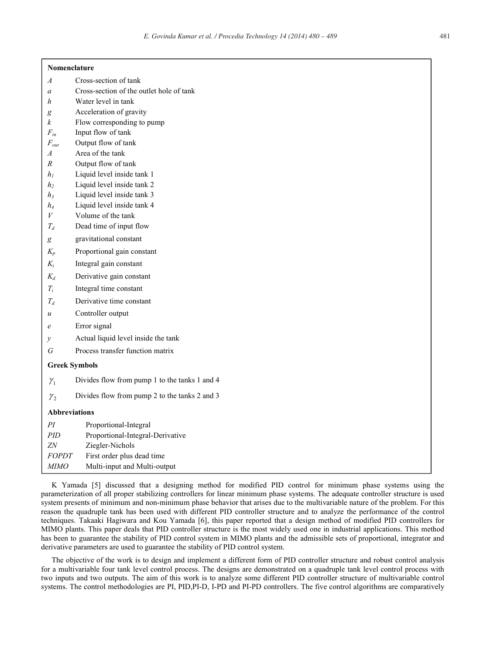| Nomenclature |  |
|--------------|--|
|--------------|--|

- *A* Cross-section of tank
- *a* Cross-section of the outlet hole of tank
- *h* Water level in tank
- *g* Acceleration of gravity
- *k* Flow corresponding to pump
- *Fin* Input flow of tank
- *Fout* Output flow of tank
- *A* Area of the tank
- *R* Output flow of tank
- *h1* Liquid level inside tank 1
- *h*<sub>2</sub> Liquid level inside tank 2
- *h3* Liquid level inside tank 3
- *h4* Liquid level inside tank 4
- *V* Volume of the tank
- $T_d$  Dead time of input flow
- *g* gravitational constant
- *Kp* Proportional gain constant
- *Ki* Integral gain constant
- *Kd* Derivative gain constant
- *Ti* Integral time constant
- *Td* Derivative time constant
- *u* Controller output
- *e* Error signal
- *y* Actual liquid level inside the tank
- *G* Process transfer function matrix

#### **Greek Symbols**

 $\gamma$ , Divides flow from pump 2 to the tanks 2 and 3

## **Abbreviations**

| ΡI           | Proportional-Integral            |
|--------------|----------------------------------|
| <i>PID</i>   | Proportional-Integral-Derivative |
| 7N           | Ziegler-Nichols                  |
| <b>FOPDT</b> | First order plus dead time       |
| <b>MIMO</b>  | Multi-input and Multi-output     |

K Yamada [5] discussed that a designing method for modified PID control for minimum phase systems using the parameterization of all proper stabilizing controllers for linear minimum phase systems. The adequate controller structure is used system presents of minimum and non-minimum phase behavior that arises due to the multivariable nature of the problem. For this reason the quadruple tank has been used with different PID controller structure and to analyze the performance of the control techniques. Takaaki Hagiwara and Kou Yamada [6], this paper reported that a design method of modified PID controllers for MIMO plants. This paper deals that PID controller structure is the most widely used one in industrial applications. This method has been to guarantee the stability of PID control system in MIMO plants and the admissible sets of proportional, integrator and derivative parameters are used to guarantee the stability of PID control system.

The objective of the work is to design and implement a different form of PID controller structure and robust control analysis for a multivariable four tank level control process. The designs are demonstrated on a quadruple tank level control process with two inputs and two outputs. The aim of this work is to analyze some different PID controller structure of multivariable control systems. The control methodologies are PI, PID,PI-D, I-PD and PI-PD controllers. The five control algorithms are comparatively